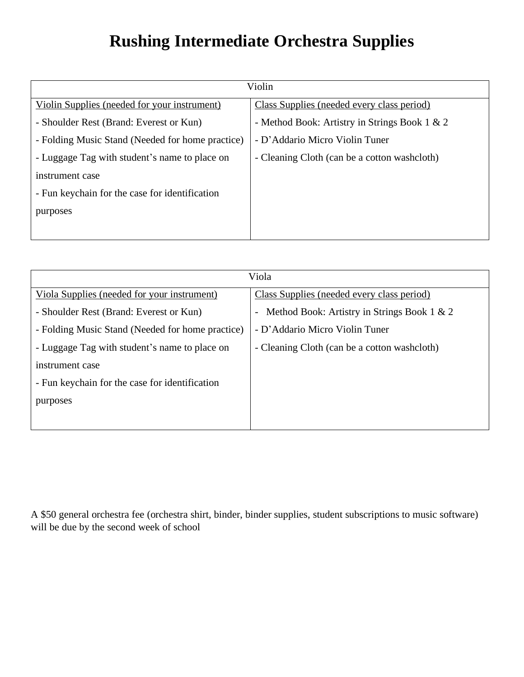## **Rushing Intermediate Orchestra Supplies**

| Violin                                           |                                               |
|--------------------------------------------------|-----------------------------------------------|
| Violin Supplies (needed for your instrument)     | Class Supplies (needed every class period)    |
| - Shoulder Rest (Brand: Everest or Kun)          | - Method Book: Artistry in Strings Book 1 & 2 |
| - Folding Music Stand (Needed for home practice) | - D'Addario Micro Violin Tuner                |
| - Luggage Tag with student's name to place on    | - Cleaning Cloth (can be a cotton washcloth)  |
| instrument case                                  |                                               |
| - Fun keychain for the case for identification   |                                               |
| purposes                                         |                                               |
|                                                  |                                               |

| Viola                                            |                                              |
|--------------------------------------------------|----------------------------------------------|
| Viola Supplies (needed for your instrument)      | Class Supplies (needed every class period)   |
| - Shoulder Rest (Brand: Everest or Kun)          | Method Book: Artistry in Strings Book 1 & 2  |
| - Folding Music Stand (Needed for home practice) | - D'Addario Micro Violin Tuner               |
| - Luggage Tag with student's name to place on    | - Cleaning Cloth (can be a cotton washcloth) |
| instrument case                                  |                                              |
| - Fun keychain for the case for identification   |                                              |
| purposes                                         |                                              |
|                                                  |                                              |

A \$50 general orchestra fee (orchestra shirt, binder, binder supplies, student subscriptions to music software) will be due by the second week of school